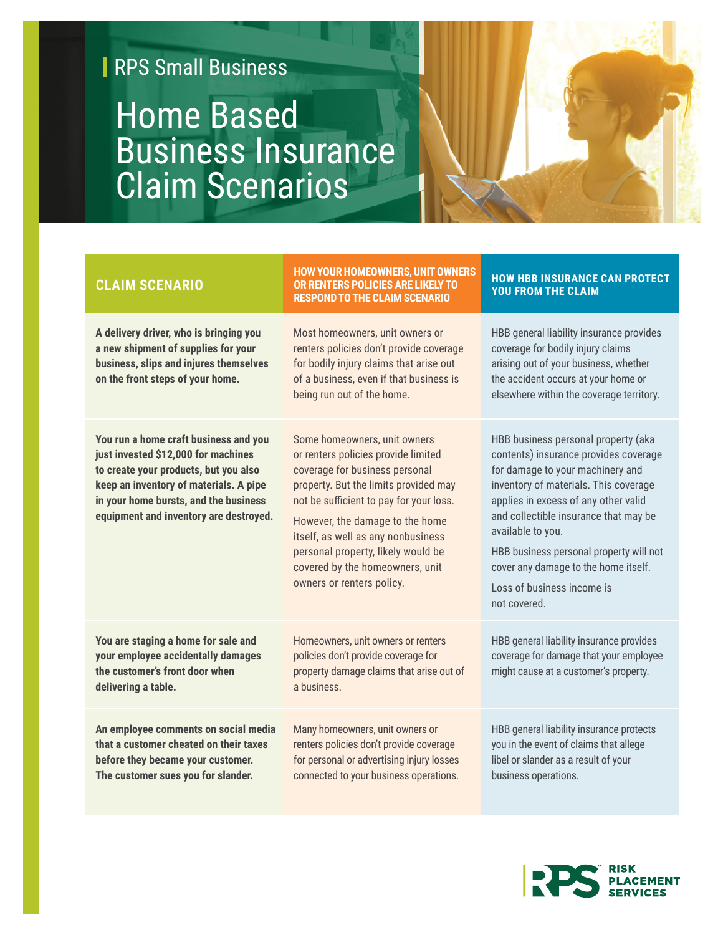## **RPS Small Business**

## Home Based Business Insurance Claim Scenarios

| <b>CLAIM SCENARIO</b>                                                                                                                                                                                                                              | <b>HOW YOUR HOMEOWNERS, UNIT OWNERS</b><br>OR RENTERS POLICIES ARE LIKELY TO<br><b>RESPOND TO THE CLAIM SCENARIO</b>                                                                                                                                                                                                                                                     | <b>HOW HBB INSURANCE CAN PROTECT</b><br><b>YOU FROM THE CLAIM</b>                                                                                                                                                                                                                                                                                                                                |
|----------------------------------------------------------------------------------------------------------------------------------------------------------------------------------------------------------------------------------------------------|--------------------------------------------------------------------------------------------------------------------------------------------------------------------------------------------------------------------------------------------------------------------------------------------------------------------------------------------------------------------------|--------------------------------------------------------------------------------------------------------------------------------------------------------------------------------------------------------------------------------------------------------------------------------------------------------------------------------------------------------------------------------------------------|
| A delivery driver, who is bringing you<br>a new shipment of supplies for your<br>business, slips and injures themselves<br>on the front steps of your home.                                                                                        | Most homeowners, unit owners or<br>renters policies don't provide coverage<br>for bodily injury claims that arise out<br>of a business, even if that business is<br>being run out of the home.                                                                                                                                                                           | HBB general liability insurance provides<br>coverage for bodily injury claims<br>arising out of your business, whether<br>the accident occurs at your home or<br>elsewhere within the coverage territory.                                                                                                                                                                                        |
| You run a home craft business and you<br>just invested \$12,000 for machines<br>to create your products, but you also<br>keep an inventory of materials. A pipe<br>in your home bursts, and the business<br>equipment and inventory are destroyed. | Some homeowners, unit owners<br>or renters policies provide limited<br>coverage for business personal<br>property. But the limits provided may<br>not be sufficient to pay for your loss.<br>However, the damage to the home<br>itself, as well as any nonbusiness<br>personal property, likely would be<br>covered by the homeowners, unit<br>owners or renters policy. | HBB business personal property (aka<br>contents) insurance provides coverage<br>for damage to your machinery and<br>inventory of materials. This coverage<br>applies in excess of any other valid<br>and collectible insurance that may be<br>available to you.<br>HBB business personal property will not<br>cover any damage to the home itself.<br>Loss of business income is<br>not covered. |
| You are staging a home for sale and<br>your employee accidentally damages<br>the customer's front door when<br>delivering a table.                                                                                                                 | Homeowners, unit owners or renters<br>policies don't provide coverage for<br>property damage claims that arise out of<br>a business.                                                                                                                                                                                                                                     | HBB general liability insurance provides<br>coverage for damage that your employee<br>might cause at a customer's property.                                                                                                                                                                                                                                                                      |
| An employee comments on social media<br>that a customer cheated on their taxes<br>before they became your customer.<br>The customer sues you for slander.                                                                                          | Many homeowners, unit owners or<br>renters policies don't provide coverage<br>for personal or advertising injury losses<br>connected to your business operations.                                                                                                                                                                                                        | HBB general liability insurance protects<br>you in the event of claims that allege<br>libel or slander as a result of your<br>business operations.                                                                                                                                                                                                                                               |